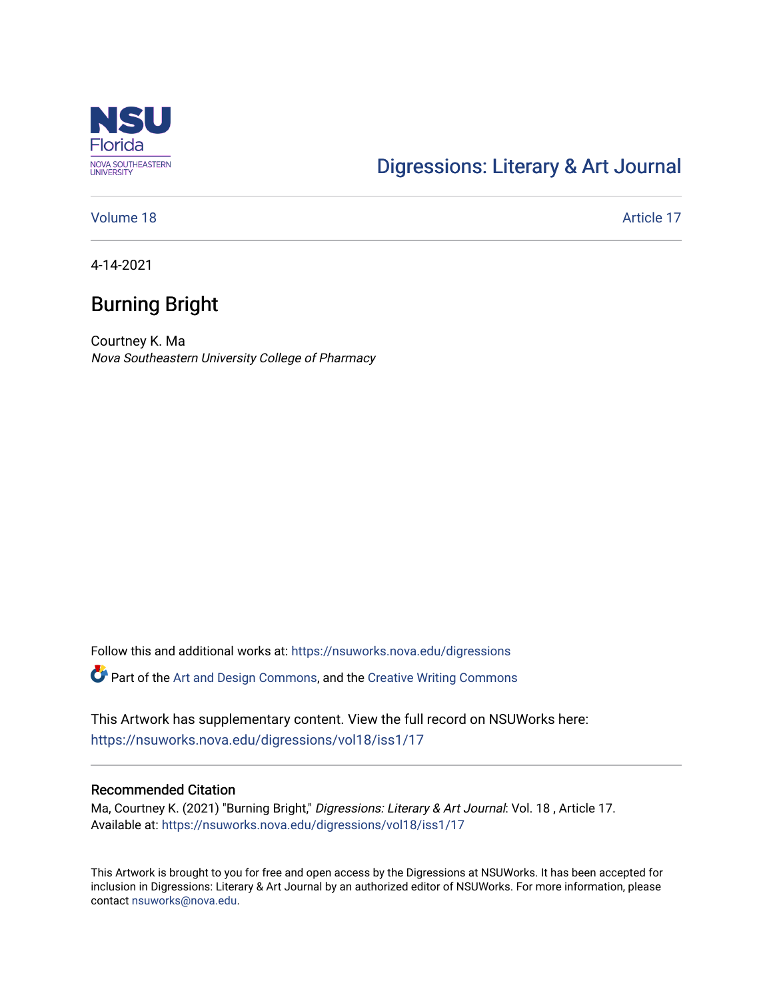

## [Digressions: Literary & Art Journal](https://nsuworks.nova.edu/digressions)

[Volume 18](https://nsuworks.nova.edu/digressions/vol18) Article 17

4-14-2021

# Burning Bright

Courtney K. Ma Nova Southeastern University College of Pharmacy

Follow this and additional works at: [https://nsuworks.nova.edu/digressions](https://nsuworks.nova.edu/digressions?utm_source=nsuworks.nova.edu%2Fdigressions%2Fvol18%2Fiss1%2F17&utm_medium=PDF&utm_campaign=PDFCoverPages) 

Part of the [Art and Design Commons](http://network.bepress.com/hgg/discipline/1049?utm_source=nsuworks.nova.edu%2Fdigressions%2Fvol18%2Fiss1%2F17&utm_medium=PDF&utm_campaign=PDFCoverPages), and the [Creative Writing Commons](http://network.bepress.com/hgg/discipline/574?utm_source=nsuworks.nova.edu%2Fdigressions%2Fvol18%2Fiss1%2F17&utm_medium=PDF&utm_campaign=PDFCoverPages)

This Artwork has supplementary content. View the full record on NSUWorks here: <https://nsuworks.nova.edu/digressions/vol18/iss1/17>

#### Recommended Citation

Ma, Courtney K. (2021) "Burning Bright," Digressions: Literary & Art Journal: Vol. 18, Article 17. Available at: [https://nsuworks.nova.edu/digressions/vol18/iss1/17](https://nsuworks.nova.edu/digressions/vol18/iss1/17?utm_source=nsuworks.nova.edu%2Fdigressions%2Fvol18%2Fiss1%2F17&utm_medium=PDF&utm_campaign=PDFCoverPages)

This Artwork is brought to you for free and open access by the Digressions at NSUWorks. It has been accepted for inclusion in Digressions: Literary & Art Journal by an authorized editor of NSUWorks. For more information, please contact [nsuworks@nova.edu.](mailto:nsuworks@nova.edu)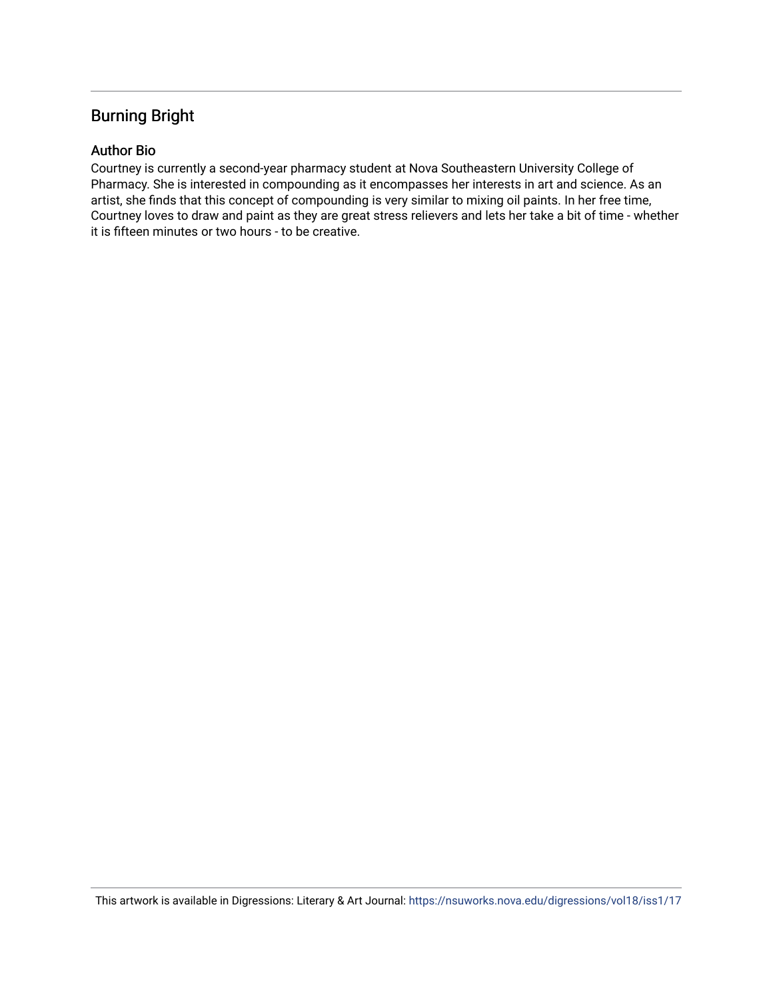## Burning Bright

### Author Bio

Courtney is currently a second-year pharmacy student at Nova Southeastern University College of Pharmacy. She is interested in compounding as it encompasses her interests in art and science. As an artist, she finds that this concept of compounding is very similar to mixing oil paints. In her free time, Courtney loves to draw and paint as they are great stress relievers and lets her take a bit of time - whether it is fifteen minutes or two hours - to be creative.